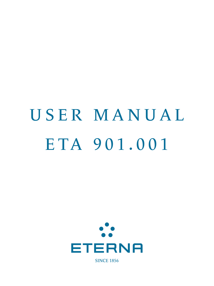# USER MANUAL ETA 901.001



**SINCE 1856**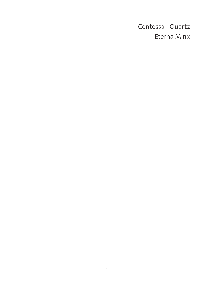Contessa - Quartz Eterna Minx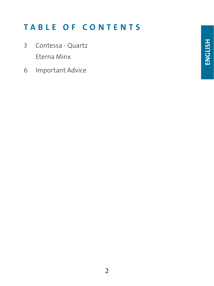# TABLE OF CONTENTS

- 3 Contessa Quartz Eterna Minx
- 6 Important Advice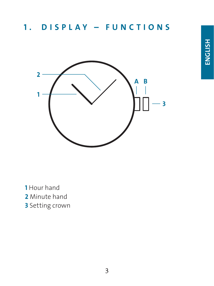## 1. DISPLAY - FUNCTIONS



Hour hand Minute hand

Setting crown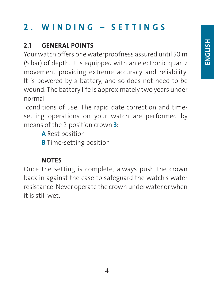# 2 . WINDING – SETTINGS

## 2.1 GENERAL POINTS

Your watch offers one waterproofness assured until 50 m (5 bar) of depth. It is equipped with an electronic quartz movement providing extreme accuracy and reliability. It is powered by a battery, and so does not need to be wound. The battery life is approximately two years under normal

 conditions of use. The rapid date correction and timesetting operations on your watch are performed by means of the 2-position crown 3:

- A Rest position
- **B** Time-setting position

## **NOTES**

Once the setting is complete, always push the crown back in against the case to safeguard the watch's water resistance. Never operate the crown underwater or when it is still wet.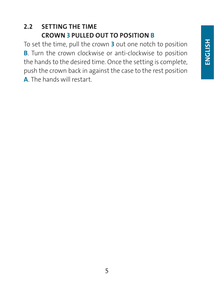## 2.2 SETTING THE TIME CROWN 3 PULLED OUT TO POSITION B

To set the time, pull the crown 3 out one notch to position **B.** Turn the crown clockwise or anti-clockwise to position the hands to the desired time. Once the setting is complete, push the crown back in against the case to the rest position A. The hands will restart.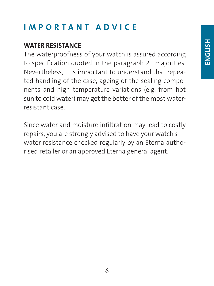# IMPORTANT ADVICE

## WATER RESISTANCE

The waterproofness of your watch is assured according to specification quoted in the paragraph 2.1 majorities. Nevertheless, it is important to understand that repeated handling of the case, ageing of the sealing components and high temperature variations (e.g. from hot sun to cold water) may get the better of the most waterresistant case.

Since water and moisture infiltration may lead to costly repairs, you are strongly advised to have your watch's water resistance checked regularly by an Eterna authorised retailer or an approved Eterna general agent.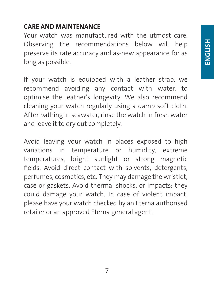## CARE AND MAINTENANCE

Your watch was manufactured with the utmost care. Observing the recommendations below will help preserve its rate accuracy and as-new appearance for as long as possible.

If your watch is equipped with a leather strap, we recommend avoiding any contact with water, to optimise the leather's longevity. We also recommend cleaning your watch regularly using a damp soft cloth. After bathing in seawater, rinse the watch in fresh water and leave it to dry out completely.

Avoid leaving your watch in places exposed to high variations in temperature or humidity, extreme temperatures, bright sunlight or strong magnetic fields. Avoid direct contact with solvents, detergents, perfumes, cosmetics, etc. They may damage the wristlet, case or gaskets. Avoid thermal shocks, or impacts: they could damage your watch. In case of violent impact, please have your watch checked by an Eterna authorised retailer or an approved Eterna general agent.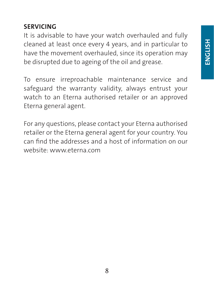## SERVICING

It is advisable to have your watch overhauled and fully cleaned at least once every 4 years, and in particular to have the movement overhauled, since its operation may be disrupted due to ageing of the oil and grease.

To ensure irreproachable maintenance service and safeguard the warranty validity, always entrust your watch to an Eterna authorised retailer or an approved Eterna general agent.

For any questions, please contact your Eterna authorised retailer or the Eterna general agent for your country. You can find the addresses and a host of information on our website: www.eterna.com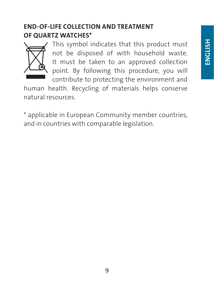## END-OF-LIFE COLLECTION AND TREATMENT OF QUARTZ WATCHES\*



This symbol indicates that this product must not be disposed of with household waste. It must be taken to an approved collection point. By following this procedure, you will contribute to protecting the environment and

human health. Recycling of materials helps conserve natural resources.

\* applicable in European Community member countries, and in countries with comparable legislation.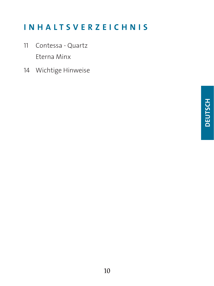## INHALTSVERZEICHNIS

- 11 Contessa Quartz Eterna Minx
- 14 Wichtige Hinweise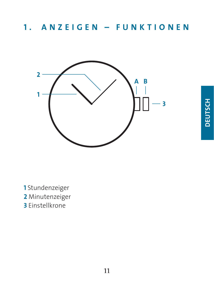## 1. ANZEIGEN - FUNKTIONEN



1 Stundenzeiger 2 Minutenzeiger 3 Einstellkrone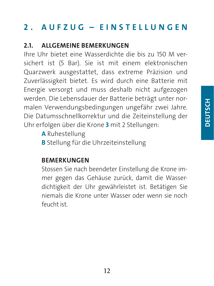# 2 . AUFZUG – EINSTELLUNGEN

### 2.1. ALLGEMEINE BEMERKUNGEN

Ihre Uhr bietet eine Wasserdichte die bis zu 150 M versichert ist (5 Bar). Sie ist mit einem elektronischen Quarzwerk ausgestattet, dass extreme Präzision und Zuverlässigkeit bietet. Es wird durch eine Batterie mit Energie versorgt und muss deshalb nicht aufgezogen werden. Die Lebensdauer der Batterie beträgt unter normalen Verwendungsbedingungen ungefähr zwei Jahre. Die Datumsschnellkorrektur und die Zeiteinstellung der Uhr erfolgen über die Krone 3 mit 2 Stellungen:

- A Ruhestellung
- B Stellung für die Uhrzeiteinstellung

### BEMERKUNGEN

Stossen Sie nach beendeter Einstellung die Krone immer gegen das Gehäuse zurück, damit die Wasserdichtigkeit der Uhr gewährleistet ist. Betätigen Sie niemals die Krone unter Wasser oder wenn sie noch feucht ist.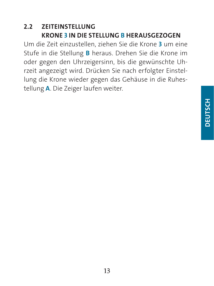## 2.2 ZEITEINSTELLUNG KRONE 3 IN DIE STELLUNG B HERAUSGEZOGEN

Um die Zeit einzustellen, ziehen Sie die Krone 3 um eine Stufe in die Stellung B heraus. Drehen Sie die Krone im oder gegen den Uhrzeigersinn, bis die gewünschte Uhrzeit angezeigt wird. Drücken Sie nach erfolgter Einstellung die Krone wieder gegen das Gehäuse in die Ruhestellung A. Die Zeiger laufen weiter.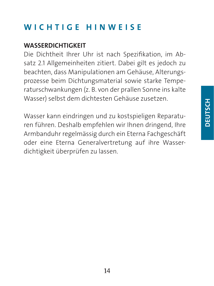## WICHTIGE HINWEISE

### WASSERDICHTIGKEIT

Die Dichtheit Ihrer Uhr ist nach Spezifikation, im Absatz 2.1 Allgemeinheiten zitiert. Dabei gilt es jedoch zu beachten, dass Manipulationen am Gehäuse, Alterungsprozesse beim Dichtungsmaterial sowie starke Temperaturschwankungen (z. B. von der prallen Sonne ins kalte Wasser) selbst dem dichtesten Gehäuse zusetzen.

Wasser kann eindringen und zu kostspieligen Reparaturen führen. Deshalb empfehlen wir Ihnen dringend, Ihre Armbanduhr regelmässig durch ein Eterna Fachgeschäft oder eine Eterna Generalvertretung auf ihre Wasserdichtigkeit überprüfen zu lassen.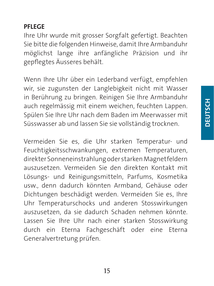#### PFLEGE

Ihre Uhr wurde mit grosser Sorgfalt gefertigt. Beachten Sie bitte die folgenden Hinweise, damit Ihre Armbanduhr möglichst lange ihre anfängliche Präzision und ihr gepflegtes Äusseres behält.

Wenn Ihre Uhr über ein Lederband verfügt, empfehlen wir, sie zugunsten der Langlebigkeit nicht mit Wasser in Berührung zu bringen. Reinigen Sie Ihre Armbanduhr auch regelmässig mit einem weichen, feuchten Lappen. Spülen Sie Ihre Uhr nach dem Baden im Meerwasser mit Süsswasser ab und lassen Sie sie vollständig trocknen.

Vermeiden Sie es, die Uhr starken Temperatur- und Feuchtigkeitsschwankungen, extremen Temperaturen, direkter Sonneneinstrahlung oder starken Magnetfeldern auszusetzen. Vermeiden Sie den direkten Kontakt mit Lösungs- und Reinigungsmitteln, Parfums, Kosmetika usw., denn dadurch könnten Armband, Gehäuse oder Dichtungen beschädigt werden. Vermeiden Sie es, Ihre Uhr Temperaturschocks und anderen Stosswirkungen auszusetzen, da sie dadurch Schaden nehmen könnte. Lassen Sie Ihre Uhr nach einer starken Stosswirkung durch ein Eterna Fachgeschäft oder eine Eterna Generalvertretung prüfen.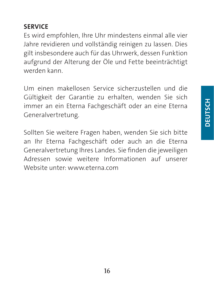### SERVICE

Es wird empfohlen, Ihre Uhr mindestens einmal alle vier Jahre revidieren und vollständig reinigen zu lassen. Dies gilt insbesondere auch für das Uhrwerk, dessen Funktion aufgrund der Alterung der Öle und Fette beeinträchtigt werden kann.

Um einen makellosen Service sicherzustellen und die Gültigkeit der Garantie zu erhalten, wenden Sie sich immer an ein Eterna Fachgeschäft oder an eine Eterna Generalvertretung.

Sollten Sie weitere Fragen haben, wenden Sie sich bitte an Ihr Eterna Fachgeschäft oder auch an die Eterna Generalvertretung Ihres Landes. Sie finden die jeweiligen Adressen sowie weitere Informationen auf unserer Website unter: www.eterna.com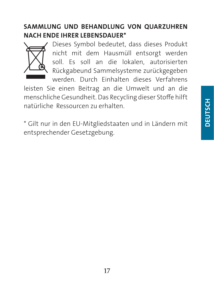### SAMMLUNG UND BEHANDLUNG VON QUARZUHREN NACH ENDE IHRER LEBENSDAUER\*



Dieses Symbol bedeutet, dass dieses Produkt nicht mit dem Hausmüll entsorgt werden soll. Es soll an die lokalen, autorisierten Rückgabeund Sammelsysteme zurückgegeben werden. Durch Einhalten dieses Verfahrens

leisten Sie einen Beitrag an die Umwelt und an die menschliche Gesundheit. Das Recycling dieser Stoffe hilft natürliche Ressourcen zu erhalten.

\* Gilt nur in den EU-Mitgliedstaaten und in Ländern mit entsprechender Gesetzgebung.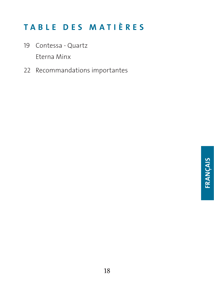# TABLE DES MATIÈRES

19 Contessa - Quartz

Eterna Minx

22 Recommandations importantes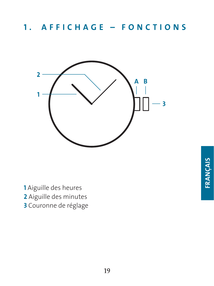# 1. AFFICHAGE - FONCTIONS



- Aiguille des heures
- Aiguille des minutes
- Couronne de réglage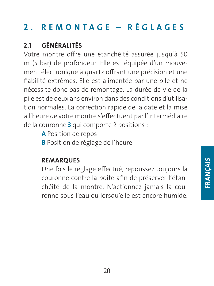# 2. REMONTAGE - RÉGLAGES

## 2.1 GÉNÉRALITÉS

Votre montre offre une étanchéité assurée jusqu'à 50 m (5 bar) de profondeur. Elle est équipée d'un mouvement électronique à quartz offrant une précision et une fiabilité extrêmes. Elle est alimentée par une pile et ne nécessite donc pas de remontage. La durée de vie de la pile est de deux ans environ dans des conditions d'utilisation normales. La correction rapide de la date et la mise à l'heure de votre montre s'effectuent par l'intermédiaire de la couronne 3 qui comporte 2 positions :

- A Position de repos
- B Position de réglage de l'heure

#### REMARQUES

Une fois le réglage effectué, repoussez toujours la couronne contre la boîte afin de préserver l'étanchéité de la montre. N'actionnez jamais la couronne sous l'eau ou lorsqu'elle est encore humide.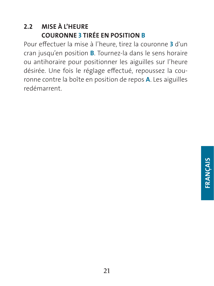## 2.2 MISE À L'HEURE COURONNE 3 TIRÉE EN POSITION B

Pour effectuer la mise à l'heure, tirez la couronne 3 d'un cran jusqu'en position B. Tournez-la dans le sens horaire ou antihoraire pour positionner les aiguilles sur l'heure désirée. Une fois le réglage effectué, repoussez la couronne contre la boîte en position de repos A. Les aiguilles redémarrent.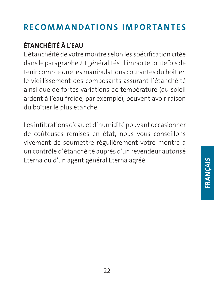# RECOMMANDATIONS IMPORTANTES

## ÉTANCHÉITÉ À L'EAU

L'étanchéité de votre montre selon les spécification citée dans le paragraphe 2.1 généralités. Il importe toutefois de tenir compte que les manipulations courantes du boîtier, le vieillissement des composants assurant l'étanchéité ainsi que de fortes variations de température (du soleil ardent à l'eau froide, par exemple), peuvent avoir raison du boîtier le plus étanche.

Les infiltrations d'eau et d'humidité pouvant occasionner de coûteuses remises en état, nous vous conseillons vivement de soumettre régulièrement votre montre à un contrôle d'étanchéité auprès d'un revendeur autorisé Eterna ou d'un agent général Eterna agréé.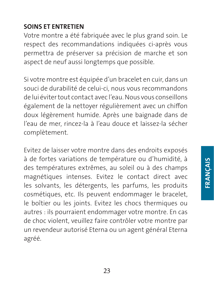## SOINS ET ENTRETIEN

Votre montre a été fabriquée avec le plus grand soin. Le respect des recommandations indiquées ci-après vous permettra de préserver sa précision de marche et son aspect de neuf aussi longtemps que possible.

Si votre montre est équipée d'un bracelet en cuir, dans un souci de durabilité de celui-ci, nous vous recommandons de lui éviter tout contact avec l'eau. Nous vous conseillons également de la nettoyer régulièrement avec un chiffon doux légèrement humide. Après une baignade dans de l'eau de mer, rincez-la à l'eau douce et laissez-la sécher complètement.

Evitez de laisser votre montre dans des endroits exposés à de fortes variations de température ou d'humidité, à des températures extrêmes, au soleil ou à des champs magnétiques intenses. Evitez le contact direct avec les solvants, les détergents, les parfums, les produits cosmétiques, etc. Ils peuvent endommager le bracelet, le boîtier ou les joints. Evitez les chocs thermiques ou autres : ils pourraient endommager votre montre. En cas de choc violent, veuillez faire contrôler votre montre par un revendeur autorisé Eterna ou un agent général Eterna agréé.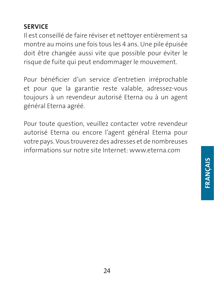### SERVICE

Il est conseillé de faire réviser et nettoyer entièrement sa montre au moins une fois tous les 4 ans. Une pile épuisée doit être changée aussi vite que possible pour éviter le risque de fuite qui peut endommager le mouvement.

Pour bénéficier d'un service d'entretien irréprochable et pour que la garantie reste valable, adressez-vous toujours à un revendeur autorisé Eterna ou à un agent général Eterna agréé.

Pour toute question, veuillez contacter votre revendeur autorisé Eterna ou encore l'agent général Eterna pour votre pays. Vous trouverez des adresses et de nombreuses informations sur notre site Internet: www.eterna.com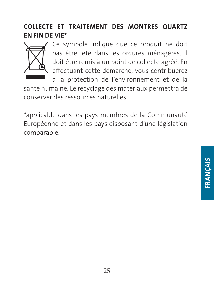### COLLECTE ET TRAITEMENT DES MONTRES QUARTZ EN FIN DE VIE\*



Ce symbole indique que ce produit ne doit pas être jeté dans les ordures ménagères. Il doit être remis à un point de collecte agréé. En effectuant cette démarche, vous contribuerez

à la protection de l'environnement et de la santé humaine. Le recyclage des matériaux permettra de conserver des ressources naturelles.

\*applicable dans les pays membres de la Communauté Européenne et dans les pays disposant d'une législation comparable.